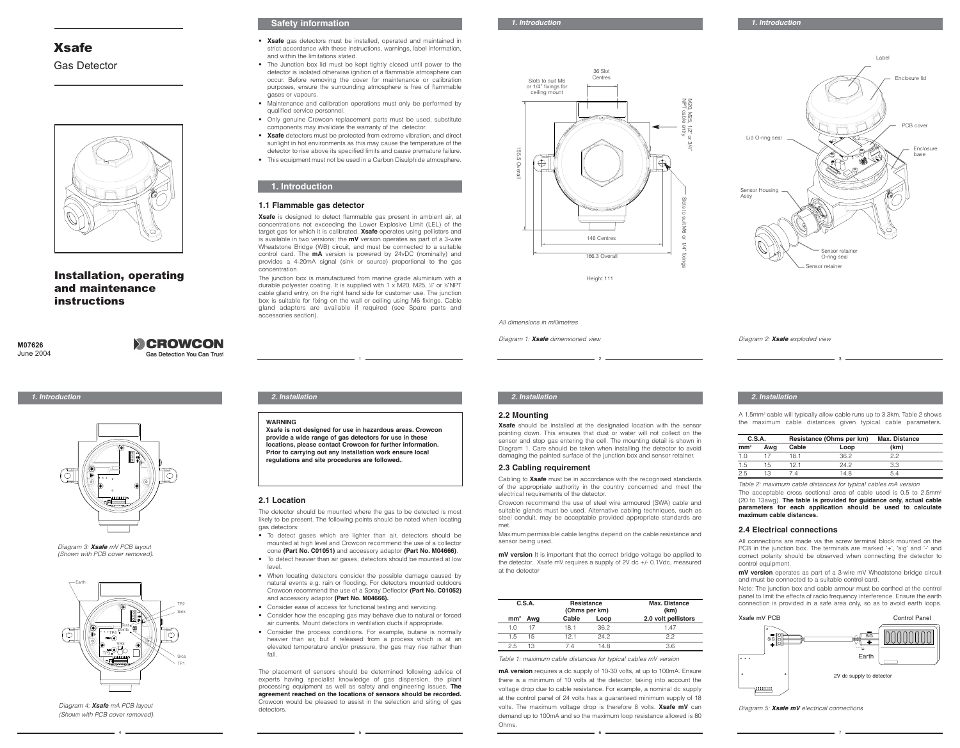# Xsafe Gas Detector



Installation, operating and maintenance instructions

**M07626** June 2004

## **SCROWCON Gas Detection You Can Trust**



*Diagram 3: Xsafe mV PCB layout (Shown with PCB cover removed).*



*Diagram 4: Xsafe mA PCB layout (Shown with PCB cover removed).*

## **Safety information**

- **Xsafe** gas detectors must be installed, operated and maintained in strict accordance with these instructions, warnings, label information, and within the limitations stated.
- The Junction box lid must be kept tightly closed until power to the detector is isolated otherwise ignition of a flammable atmosphere can occur. Before removing the cover for maintenance or calibration purposes, ensure the surrounding atmosphere is free of flammable gases or vapours.
- Maintenance and calibration operations must only be performed by qualified service personnel.
- Only genuine Crowcon replacement parts must be used, substitute components may invalidate the warranty of the detector.
- **Xsafe** detectors must be protected from extreme vibration, and direct sunlight in hot environments as this may cause the temperature of the detector to rise above its specified limits and cause premature failure.
- This equipment must not be used in a Carbon Disulphide atmosphere.

# **1.1 Flammable gas detector**

**1. Introduction**

**WARNING**

**2.1 Location**

gas detectors:

level.

fall.

detectors.

**Xsafe** is designed to detect flammable gas present in ambient air, at concentrations not exceeding the Lower Explosive Limit (LEL) of the target gas for which it is calibrated. **Xsafe** operates using pellistors and is available in two versions; the **mV** version operates as part of a 3-wire Wheatstone Bridge (WB) circuit, and must be connected to a suitable control card. The **mA** version is powered by 24vDC (nominally) and provides a 4-20mA signal (sink or source) proportional to the gas concentration.

The junction box is manufactured from marine grade aluminium with a durable polyester coating. It is supplied with 1 x M20, M25, 1/2" or 34"NPT cable gland entry, on the right hand side for customer use. The junction box is suitable for fixing on the wall or ceiling using M6 fixings. Cable gland adaptors are available if required (see Spare parts and accessories section).

**Xsafe is not designed for use in hazardous areas. Crowcon provide a wide range of gas detectors for use in these locations, please contact Crowcon for further information. Prior to carrying out any installation work ensure local regulations and site procedures are followed.**.

The detector should be mounted where the gas to be detected is most likely to be present. The following points should be noted when locating

• To detect gases which are lighter than air, detectors should be mounted at high level and Crowcon recommend the use of a collector cone **(Part No. C01051)** and accessory adaptor **(Part No. M04666)**. • To detect heavier than air gases, detectors should be mounted at low

• When locating detectors consider the possible damage caused by natural events e.g. rain or flooding. For detectors mounted outdoors Crowcon recommend the use of a Spray Deflector **(Part No. C01052)**

The placement of sensors should be determined following advice of experts having specialist knowledge of gas dispersion, the plant processing equipment as well as safety and engineering issues. **The agreement reached on the locations of sensors should be recorded.** Crowcon would be pleased to assist in the selection and siting of gas

• Consider ease of access for functional testing and servicing. • Consider how the escaping gas may behave due to natural or forced air currents. Mount detectors in ventilation ducts if appropriate. • Consider the process conditions. For example, butane is normally heavier than air, but if released from a process which is at an elevated temperature and/or pressure, the gas may rise rather than

and accessory adaptor **(Part No. M04666).**



Enclosure lid PCB cover Lid O-ring seal Sensor Housing Assy Sensor retainer O-ring seal sor retaine Enclosure base

Label

*All dimensions in millimetres*

*Diagram 1: Xsafe dimensioned view Diagram 2: Xsafe exploded view*

## *1. Introduction 2. Installation 2. Installation 2. Installation*

## **2.2 Mounting**

4 5 6 7

**Xsafe** should be installed at the designated location with the sensor pointing down. This ensures that dust or water will not collect on the sensor and stop gas entering the cell. The mounting detail is shown in Diagram 1. Care should be taken when installing the detector to avoid damaging the painted surface of the junction box and sensor retainer.

1 2 3

### **2.3 Cabling requirement**

Cabling to **Xsafe** must be in accordance with the recognised standards of the appropriate authority in the country concerned and meet the electrical requirements of the detector.

Crowcon recommend the use of steel wire armoured (SWA) cable and suitable glands must be used. Alternative cabling techniques, such as steel conduit, may be acceptable provided appropriate standards are met.

Maximum permissible cable lengths depend on the cable resistance and sensor being used.

**mV version** It is important that the correct bridge voltage be applied to the detector. Xsafe mV requires a supply of 2V dc +/- 0.1Vdc, measured at the detector

|                 | C.S.A.<br>Resistance<br>(Ohms per km) |       |      |                     | <b>Max. Distance</b><br>(km) |
|-----------------|---------------------------------------|-------|------|---------------------|------------------------------|
| mm <sup>2</sup> | Awg                                   | Cable | Loop | 2.0 volt pellistors |                              |
| 1 N             | 17                                    | 18 1  | 36.2 | 1 47                |                              |
| 1.5             | 15                                    | 121   | 24.2 | 22                  |                              |
| 25              | 13                                    | 74    | 14 8 | 3.6                 |                              |

*Table 1: maximum cable distances for typical cables mV version*

**mA version** requires a dc supply of 10-30 volts, at up to 100mA. Ensure there is a minimum of 10 volts at the detector, taking into account the voltage drop due to cable resistance. For example, a nominal dc supply at the control panel of 24 volts has a guaranteed minimum supply of 18 volts. The maximum voltage drop is therefore 8 volts. **Xsafe mV** can demand up to 100mA and so the maximum loop resistance allowed is 80 **Ohms** 

A 1.5mm2 cable will typically allow cable runs up to 3.3km. Table 2 shows the maximum cable distances given typical cable parameters.

| C.S.A.          |     | Resistance (Ohms per km) |      | Max. Distance |
|-----------------|-----|--------------------------|------|---------------|
| mm <sup>2</sup> | Awa | Cable                    | Loop | (km)          |
| 1.0             |     | 181                      | 36.2 | クク            |
| 1.5             | 15  | 121                      | 24.2 | 3.3           |
| $2.5 -$         | 13  | Δ                        | 14 8 |               |

*Table 2: maximum cable distances for typical cables mA version* The acceptable cross sectional area of cable used is 0.5 to 2.5mm<sup>2</sup> (20 to 13awg). **The table is provided for guidance only, actual cable parameters for each application should be used to calculate maximum cable distances.**

### **2.4 Electrical connections**

All connections are made via the screw terminal block mounted on the PCB in the junction box. The terminals are marked '+', 'sig' and '-' and correct polarity should be observed when connecting the detector to control equipment.

**mV version** operates as part of a 3-wire mV Wheatstone bridge circuit and must be connected to a suitable control card.

Note: The junction box and cable armour must be earthed at the control panel to limit the effects of radio frequency interference. Ensure the earth connection is provided in a safe area only, so as to avoid earth loops.



*Diagram 5: Xsafe mV electrical connections*

*1. Introduction*